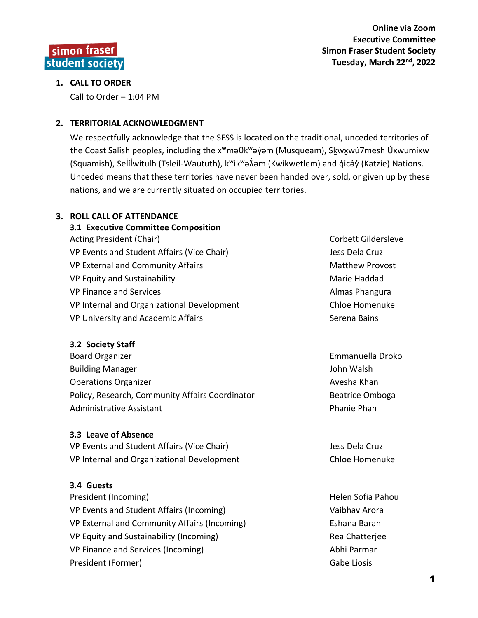**Online via Zoom Executive Committee Simon Fraser Student Society Tuesday, March 22nd, 2022**

#### **1. CALL TO ORDER**

simon fraser student society

Call to Order – 1:04 PM

#### **2. TERRITORIAL ACKNOWLEDGMENT**

We respectfully acknowledge that the SFSS is located on the traditional, unceded territories of the Coast Salish peoples, including the x<sup>w</sup>məθk<sup>w</sup>əy̓əm (Musqueam), Skʌwxwú7mesh Úxwumixw (Squamish), Selí̓lwitulh (Tsleil ̓ -Waututh), kʷikʷəƛ̓əm (Kwikwetlem) and q̓icə̓y̓(Katzie) Nations. Unceded means that these territories have never been handed over, sold, or given up by these nations, and we are currently situated on occupied territories.

#### **3. ROLL CALL OF ATTENDANCE**

**3.1 Executive Committee Composition** Acting President (Chair) Corbett Gildersleve VP Events and Student Affairs (Vice Chair) [Jess Dela Cruz](mailto:vpstudentlife@sfss.ca) VP External and Community Affairs Matthew Provost VP Equity and Sustainability Marie Haddad Marie Haddad VP Finance and Services [Almas Phangura](mailto:vpfinance@sfss.ca) Almas Phangura VP Internal and Organizational Development Chloe Homenuke VP University and Academic Affairs [Serena Bains](mailto:vpuniversity@sfss.ca) Serena Bains

#### **3.2 Society Staff**

Board Organizer **Emmanuella Droko** Building Manager **John Walsh** Operations Organizer Ayes and Ayesha Khan Policy, Research, Community Affairs Coordinator **Beatrice Omboga** Administrative Assistant **Phanie Phanie Phanie Phanie Phanie Phanie Phanie Phanie Phanie Phanie Phanie Phanie Phan** 

#### **3.3 Leave of Absence**

VP Events and Student Affairs (Vice Chair) Subsett Assembly Dess Dela Cruz VP Internal and Organizational Development Chloe Homenuke

#### **3.4 Guests**

President (Incoming) and European Controllering Helen Sofia Pahou VP Events and Student Affairs (Incoming) [Vaibhav](mailto:vpstudentlife@sfss.ca) Arora VP External and Community Affairs (Incoming) Eshana Baran VP Equity and Sustainability (Incoming) The Rea Chatteriee Rea Chatteriee VP Finance and Services (Incoming) and the service of the [Abhi](mailto:vpfinance@sfss.ca) Parmar President (Former) and the contract of the contract of the Gabe Liosis Gabe Liosis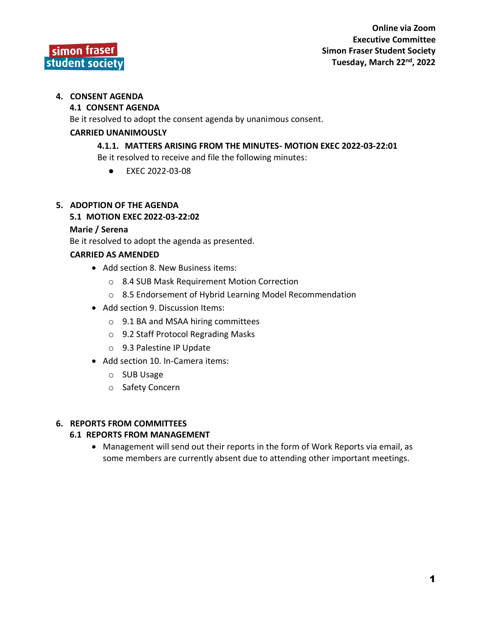

#### **4. CONSENT AGENDA**

#### **4.1 CONSENT AGENDA**

Be it resolved to adopt the consent agenda by unanimous consent.

#### **CARRIED UNANIMOUSLY**

#### **4.1.1. MATTERS ARISING FROM THE MINUTES- MOTION EXEC 2022-03-22:01**

Be it resolved to receive and file the following minutes:

● EXEC 2022-03-08

#### **5. ADOPTION OF THE AGENDA**

#### **5.1 MOTION EXEC 2022-03-22:02**

#### **Marie / Serena**

Be it resolved to adopt the agenda as presented.

#### **CARRIED AS AMENDED**

- Add section 8. New Business items:
	- o 8.4 SUB Mask Requirement Motion Correction
	- o 8.5 Endorsement of Hybrid Learning Model Recommendation
- Add section 9. Discussion Items:
	- o 9.1 BA and MSAA hiring committees
	- o 9.2 Staff Protocol Regrading Masks
	- o 9.3 Palestine IP Update
- Add section 10. In-Camera items:
	- o SUB Usage
	- o Safety Concern

#### **6. REPORTS FROM COMMITTEES**

#### **6.1 REPORTS FROM MANAGEMENT**

• Management will send out their reports in the form of Work Reports via email, as some members are currently absent due to attending other important meetings.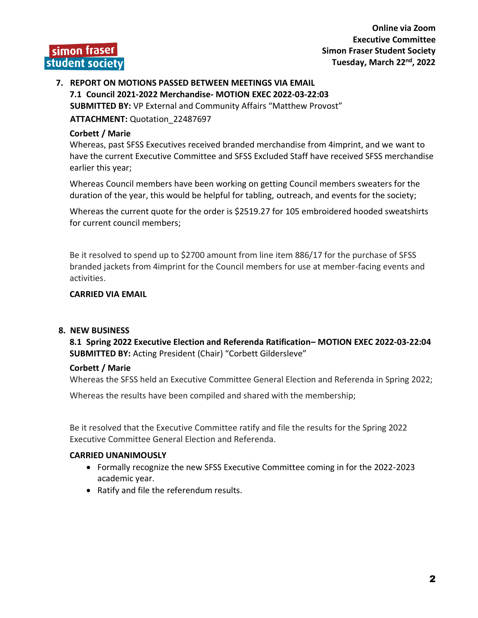**Online via Zoom Executive Committee Simon Fraser Student Society Tuesday, March 22nd, 2022**

#### **7. REPORT ON MOTIONS PASSED BETWEEN MEETINGS VIA EMAIL 7.1 Council 2021-2022 Merchandise- MOTION EXEC 2022-03-22:03 SUBMITTED BY:** VP External and Community Affairs "Matthew Provost"

**ATTACHMENT:** Quotation\_22487697

#### **Corbett / Marie**

Whereas, past SFSS Executives received branded merchandise from 4imprint, and we want to have the current Executive Committee and SFSS Excluded Staff have received SFSS merchandise earlier this year;

Whereas Council members have been working on getting Council members sweaters for the duration of the year, this would be helpful for tabling, outreach, and events for the society;

Whereas the current quote for the order is \$2519.27 for 105 embroidered hooded sweatshirts for current council members;

Be it resolved to spend up to \$2700 amount from line item 886/17 for the purchase of SFSS branded jackets from 4imprint for the Council members for use at member-facing events and activities.

#### **CARRIED VIA EMAIL**

#### **8. NEW BUSINESS**

**8.1 Spring 2022 Executive Election and Referenda Ratification– MOTION EXEC 2022-03-22:04 SUBMITTED BY:** Acting President (Chair) "Corbett Gildersleve"

#### **Corbett / Marie**

Whereas the SFSS held an Executive Committee General Election and Referenda in Spring 2022;

Whereas the results have been compiled and shared with the membership;

Be it resolved that the Executive Committee ratify and file the results for the Spring 2022 Executive Committee General Election and Referenda.

- Formally recognize the new SFSS Executive Committee coming in for the 2022-2023 academic year.
- Ratify and file the referendum results.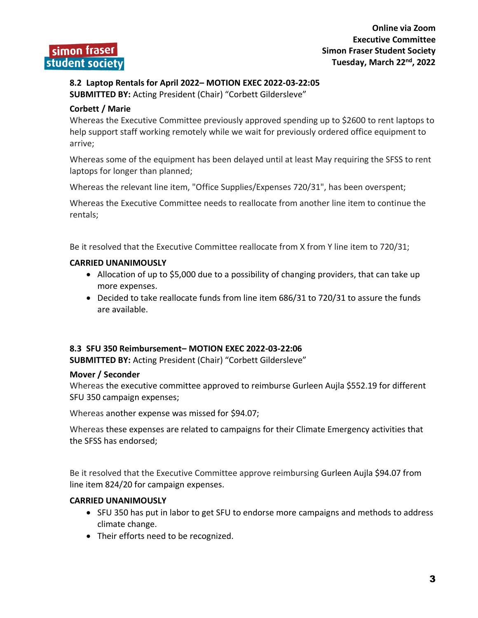### **8.2 Laptop Rentals for April 2022– MOTION EXEC 2022-03-22:05 SUBMITTED BY:** Acting President (Chair) "Corbett Gildersleve"

#### **Corbett / Marie**

Whereas the Executive Committee previously approved spending up to \$2600 to rent laptops to help support staff working remotely while we wait for previously ordered office equipment to arrive;

Whereas some of the equipment has been delayed until at least May requiring the SFSS to rent laptops for longer than planned;

Whereas the relevant line item, "Office Supplies/Expenses 720/31", has been overspent;

Whereas the Executive Committee needs to reallocate from another line item to continue the rentals;

Be it resolved that the Executive Committee reallocate from X from Y line item to 720/31;

#### **CARRIED UNANIMOUSLY**

- Allocation of up to \$5,000 due to a possibility of changing providers, that can take up more expenses.
- Decided to take reallocate funds from line item 686/31 to 720/31 to assure the funds are available.

#### **8.3 SFU 350 Reimbursement– MOTION EXEC 2022-03-22:06**

**SUBMITTED BY:** Acting President (Chair) "Corbett Gildersleve"

#### **Mover / Seconder**

Whereas the executive committee approved to reimburse Gurleen Aujla \$552.19 for different SFU 350 campaign expenses;

Whereas another expense was missed for \$94.07;

Whereas these expenses are related to campaigns for their Climate Emergency activities that the SFSS has endorsed;

Be it resolved that the Executive Committee approve reimbursing Gurleen Aujla \$94.07 from line item 824/20 for campaign expenses.

- SFU 350 has put in labor to get SFU to endorse more campaigns and methods to address climate change.
- Their efforts need to be recognized.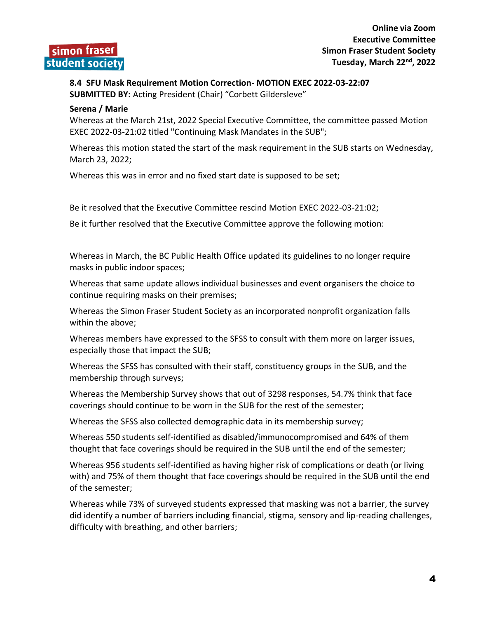### **8.4 SFU Mask Requirement Motion Correction- MOTION EXEC 2022-03-22:07**

**SUBMITTED BY:** Acting President (Chair) "Corbett Gildersleve"

#### **Serena / Marie**

Whereas at the March 21st, 2022 Special Executive Committee, the committee passed Motion EXEC 2022-03-21:02 titled "Continuing Mask Mandates in the SUB";

Whereas this motion stated the start of the mask requirement in the SUB starts on Wednesday, March 23, 2022;

Whereas this was in error and no fixed start date is supposed to be set;

Be it resolved that the Executive Committee rescind Motion EXEC 2022-03-21:02;

Be it further resolved that the Executive Committee approve the following motion:

Whereas in March, the BC Public Health Office updated its guidelines to no longer require masks in public indoor spaces;

Whereas that same update allows individual businesses and event organisers the choice to continue requiring masks on their premises;

Whereas the Simon Fraser Student Society as an incorporated nonprofit organization falls within the above;

Whereas members have expressed to the SFSS to consult with them more on larger issues, especially those that impact the SUB;

Whereas the SFSS has consulted with their staff, constituency groups in the SUB, and the membership through surveys;

Whereas the Membership Survey shows that out of 3298 responses, 54.7% think that face coverings should continue to be worn in the SUB for the rest of the semester;

Whereas the SFSS also collected demographic data in its membership survey;

Whereas 550 students self-identified as disabled/immunocompromised and 64% of them thought that face coverings should be required in the SUB until the end of the semester;

Whereas 956 students self-identified as having higher risk of complications or death (or living with) and 75% of them thought that face coverings should be required in the SUB until the end of the semester;

Whereas while 73% of surveyed students expressed that masking was not a barrier, the survey did identify a number of barriers including financial, stigma, sensory and lip-reading challenges, difficulty with breathing, and other barriers;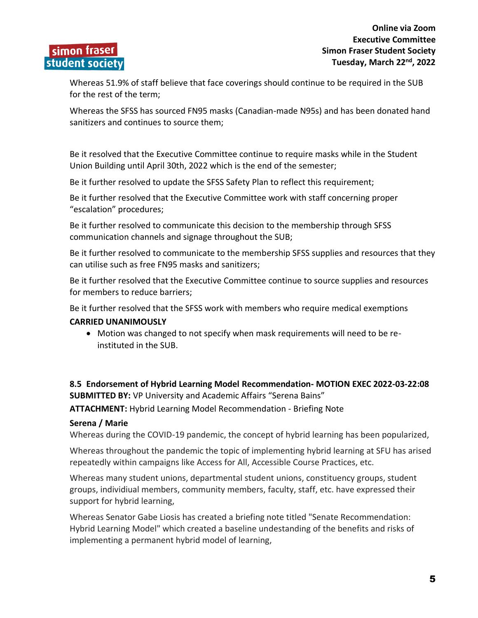Whereas 51.9% of staff believe that face coverings should continue to be required in the SUB for the rest of the term;

Whereas the SFSS has sourced FN95 masks (Canadian-made N95s) and has been donated hand sanitizers and continues to source them;

Be it resolved that the Executive Committee continue to require masks while in the Student Union Building until April 30th, 2022 which is the end of the semester;

Be it further resolved to update the SFSS Safety Plan to reflect this requirement;

Be it further resolved that the Executive Committee work with staff concerning proper "escalation" procedures;

Be it further resolved to communicate this decision to the membership through SFSS communication channels and signage throughout the SUB;

Be it further resolved to communicate to the membership SFSS supplies and resources that they can utilise such as free FN95 masks and sanitizers;

Be it further resolved that the Executive Committee continue to source supplies and resources for members to reduce barriers;

Be it further resolved that the SFSS work with members who require medical exemptions

#### **CARRIED UNANIMOUSLY**

• Motion was changed to not specify when mask requirements will need to be reinstituted in the SUB.

#### **8.5 Endorsement of Hybrid Learning Model Recommendation- MOTION EXEC 2022-03-22:08 SUBMITTED BY:** VP University and Academic Affairs "Serena Bains"

**ATTACHMENT:** Hybrid Learning Model Recommendation - Briefing Note

#### **Serena / Marie**

Whereas during the COVID-19 pandemic, the concept of hybrid learning has been popularized,

Whereas throughout the pandemic the topic of implementing hybrid learning at SFU has arised repeatedly within campaigns like Access for All, Accessible Course Practices, etc.

Whereas many student unions, departmental student unions, constituency groups, student groups, individiual members, community members, faculty, staff, etc. have expressed their support for hybrid learning,

Whereas Senator Gabe Liosis has created a briefing note titled "Senate Recommendation: Hybrid Learning Model" which created a baseline undestanding of the benefits and risks of implementing a permanent hybrid model of learning,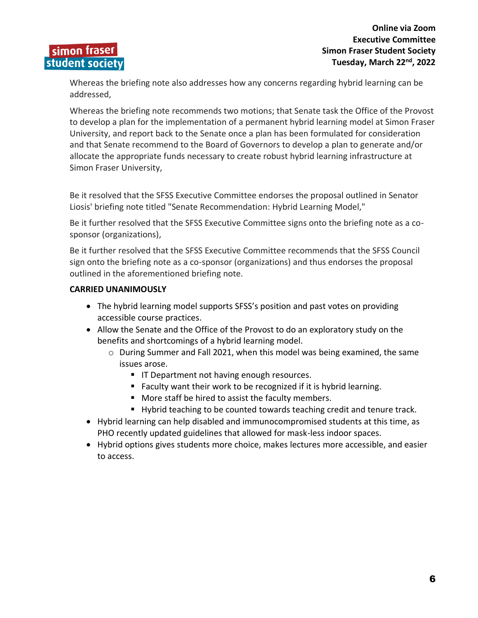Whereas the briefing note also addresses how any concerns regarding hybrid learning can be addressed,

Whereas the briefing note recommends two motions; that Senate task the Office of the Provost to develop a plan for the implementation of a permanent hybrid learning model at Simon Fraser University, and report back to the Senate once a plan has been formulated for consideration and that Senate recommend to the Board of Governors to develop a plan to generate and/or allocate the appropriate funds necessary to create robust hybrid learning infrastructure at Simon Fraser University,

Be it resolved that the SFSS Executive Committee endorses the proposal outlined in Senator Liosis' briefing note titled "Senate Recommendation: Hybrid Learning Model,"

Be it further resolved that the SFSS Executive Committee signs onto the briefing note as a cosponsor (organizations),

Be it further resolved that the SFSS Executive Committee recommends that the SFSS Council sign onto the briefing note as a co-sponsor (organizations) and thus endorses the proposal outlined in the aforementioned briefing note.

- The hybrid learning model supports SFSS's position and past votes on providing accessible course practices.
- Allow the Senate and the Office of the Provost to do an exploratory study on the benefits and shortcomings of a hybrid learning model.
	- $\circ$  During Summer and Fall 2021, when this model was being examined, the same issues arose.
		- **■** IT Department not having enough resources.
		- Faculty want their work to be recognized if it is hybrid learning.
		- More staff be hired to assist the faculty members.
		- Hybrid teaching to be counted towards teaching credit and tenure track.
- Hybrid learning can help disabled and immunocompromised students at this time, as PHO recently updated guidelines that allowed for mask-less indoor spaces.
- Hybrid options gives students more choice, makes lectures more accessible, and easier to access.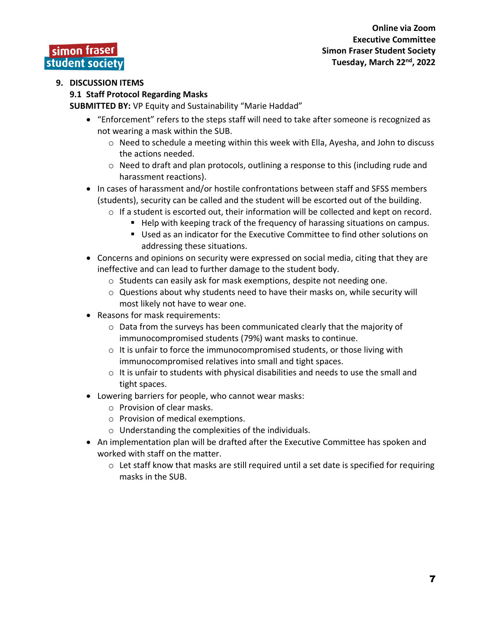#### **9.1 Staff Protocol Regarding Masks**

**SUBMITTED BY:** VP Equity and Sustainability "Marie Haddad"

- "Enforcement" refers to the steps staff will need to take after someone is recognized as not wearing a mask within the SUB.
	- $\circ$  Need to schedule a meeting within this week with Ella, Ayesha, and John to discuss the actions needed.
	- o Need to draft and plan protocols, outlining a response to this (including rude and harassment reactions).
- In cases of harassment and/or hostile confrontations between staff and SFSS members (students), security can be called and the student will be escorted out of the building.
	- $\circ$  If a student is escorted out, their information will be collected and kept on record.
		- Help with keeping track of the frequency of harassing situations on campus.
			- Used as an indicator for the Executive Committee to find other solutions on addressing these situations.
- Concerns and opinions on security were expressed on social media, citing that they are ineffective and can lead to further damage to the student body.
	- o Students can easily ask for mask exemptions, despite not needing one.
	- o Questions about why students need to have their masks on, while security will most likely not have to wear one.
- Reasons for mask requirements:
	- $\circ$  Data from the surveys has been communicated clearly that the majority of immunocompromised students (79%) want masks to continue.
	- $\circ$  It is unfair to force the immunocompromised students, or those living with immunocompromised relatives into small and tight spaces.
	- $\circ$  It is unfair to students with physical disabilities and needs to use the small and tight spaces.
- Lowering barriers for people, who cannot wear masks:
	- o Provision of clear masks.
	- o Provision of medical exemptions.
	- o Understanding the complexities of the individuals.
- An implementation plan will be drafted after the Executive Committee has spoken and worked with staff on the matter.
	- $\circ$  Let staff know that masks are still required until a set date is specified for requiring masks in the SUB.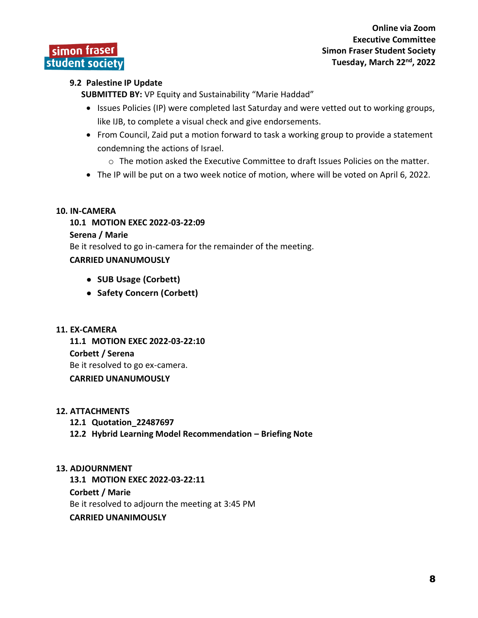**Online via Zoom Executive Committee Simon Fraser Student Society Tuesday, March 22nd, 2022**

#### **9.2 Palestine IP Update**

**SUBMITTED BY:** VP Equity and Sustainability "Marie Haddad"

- Issues Policies (IP) were completed last Saturday and were vetted out to working groups, like IJB, to complete a visual check and give endorsements.
- From Council, Zaid put a motion forward to task a working group to provide a statement condemning the actions of Israel.
	- $\circ$  The motion asked the Executive Committee to draft Issues Policies on the matter.
- The IP will be put on a two week notice of motion, where will be voted on April 6, 2022.

#### **10. IN-CAMERA**

**10.1 MOTION EXEC 2022-03-22:09**

#### **Serena / Marie**

Be it resolved to go in-camera for the remainder of the meeting.

#### **CARRIED UNANUMOUSLY**

- **SUB Usage (Corbett)**
- **Safety Concern (Corbett)**
- **11. EX-CAMERA**

**11.1 MOTION EXEC 2022-03-22:10 Corbett / Serena** Be it resolved to go ex-camera. **CARRIED UNANUMOUSLY**

#### **12. ATTACHMENTS**

- **12.1 Quotation\_22487697**
- **12.2 Hybrid Learning Model Recommendation – Briefing Note**

#### **13. ADJOURNMENT**

**13.1 MOTION EXEC 2022-03-22:11**

#### **Corbett / Marie**

Be it resolved to adjourn the meeting at 3:45 PM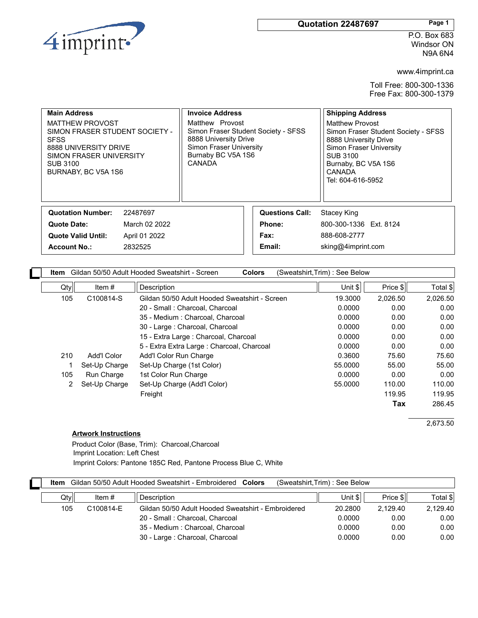

#### **Quotation 22487697 Page 1**

P.O. Box 683 Windsor ON N9A 6N4

www.4imprint.ca

Free Fax: 800-300-1379 Toll Free: 800-300-1336

| <b>Main Address</b><br><b>MATTHEW PROVOST</b><br>SIMON FRASER STUDENT SOCIETY -<br><b>SFSS</b><br>8888 UNIVERSITY DRIVE<br>SIMON FRASER UNIVERSITY<br><b>SUB 3100</b><br>BURNABY, BC V5A 1S6 |          | <b>Invoice Address</b><br>Matthew Provost<br>Simon Fraser Student Society - SFSS<br>8888 University Drive<br>Simon Fraser University<br>Burnaby BC V5A 1S6<br>CANADA |                        | <b>Shipping Address</b><br>Matthew Provost<br>Simon Fraser Student Society - SFSS<br>8888 University Drive<br>Simon Fraser University<br><b>SUB 3100</b><br>Burnaby, BC V5A 1S6<br><b>CANADA</b><br>Tel: 604-616-5952 |  |
|----------------------------------------------------------------------------------------------------------------------------------------------------------------------------------------------|----------|----------------------------------------------------------------------------------------------------------------------------------------------------------------------|------------------------|-----------------------------------------------------------------------------------------------------------------------------------------------------------------------------------------------------------------------|--|
| <b>Quotation Number:</b>                                                                                                                                                                     | 22487697 |                                                                                                                                                                      | <b>Questions Call:</b> | Stacey King                                                                                                                                                                                                           |  |
| March 02 2022<br>Quote Date:                                                                                                                                                                 |          | Phone:                                                                                                                                                               |                        | 800-300-1336 Ext. 8124                                                                                                                                                                                                |  |
| <b>Quote Valid Until:</b><br>April 01 2022                                                                                                                                                   |          | Fax:                                                                                                                                                                 |                        | 888-608-2777                                                                                                                                                                                                          |  |
| <b>Account No.:</b><br>2832525                                                                                                                                                               |          |                                                                                                                                                                      | Email:                 | sking@4imprint.com                                                                                                                                                                                                    |  |

| Item |                   | Gildan 50/50 Adult Hooded Sweatshirt - Screen<br><b>Colors</b> | (Sweatshirt,Trim) : See Below |                     |          |
|------|-------------------|----------------------------------------------------------------|-------------------------------|---------------------|----------|
| Qty  | Item $#$          | Description                                                    | Unit $\frac{1}{2}$            | Price $\frac{1}{2}$ | Total \$ |
| 105  | C100814-S         | Gildan 50/50 Adult Hooded Sweatshirt - Screen                  | 19.3000                       | 2.026.50            | 2,026.50 |
|      |                   | 20 - Small : Charcoal, Charcoal                                | 0.0000                        | 0.00                | 0.00     |
|      |                   | 35 - Medium : Charcoal, Charcoal                               | 0.0000                        | 0.00                | 0.00     |
|      |                   | 30 - Large : Charcoal, Charcoal                                | 0.0000                        | 0.00                | 0.00     |
|      |                   | 15 - Extra Large : Charcoal, Charcoal                          | 0.0000                        | 0.00                | 0.00     |
|      |                   | 5 - Extra Extra Large : Charcoal, Charcoal                     | 0.0000                        | 0.00                | 0.00     |
| 210  | Add'l Color       | Add'l Color Run Charge                                         | 0.3600                        | 75.60               | 75.60    |
|      | Set-Up Charge     | Set-Up Charge (1st Color)                                      | 55.0000                       | 55.00               | 55.00    |
| 105  | <b>Run Charge</b> | 1st Color Run Charge                                           | 0.0000                        | 0.00                | 0.00     |
| 2    | Set-Up Charge     | Set-Up Charge (Add'l Color)                                    | 55.0000                       | 110.00              | 110.00   |
|      |                   | Freight                                                        |                               | 119.95              | 119.95   |
|      |                   |                                                                |                               | Tax                 | 286.45   |

2,673.50

#### **Artwork Instructions**

Imprint Colors: Pantone 185C Red, Pantone Process Blue C, White Imprint Location: Left Chest Product Color (Base, Trim): Charcoal,Charcoal

| Gildan 50/50 Adult Hooded Sweatshirt - Embroidered Colors<br>(Sweatshirt, Trim): See Below<br>ltem |     |           |                                                    |         |          |          |
|----------------------------------------------------------------------------------------------------|-----|-----------|----------------------------------------------------|---------|----------|----------|
|                                                                                                    | Qty | Item $#$  | <b>Description</b>                                 | Unit \$ | Price \$ | Total \$ |
|                                                                                                    | 105 | C100814-E | Gildan 50/50 Adult Hooded Sweatshirt - Embroidered | 20.2800 | 2.129.40 | 2.129.40 |
|                                                                                                    |     |           | 20 - Small : Charcoal, Charcoal                    | 0.0000  | 0.00     | 0.00     |
|                                                                                                    |     |           | 35 - Medium : Charcoal, Charcoal                   | 0.0000  | 0.00     | 0.00     |
|                                                                                                    |     |           | 30 - Large : Charcoal, Charcoal                    | 0.0000  | 0.00     | 0.00     |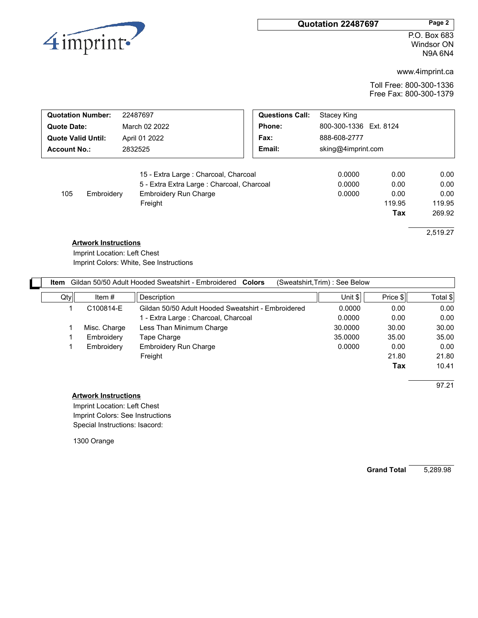#### **Quotation 22487697 Page 2**



P.O. Box 683 Windsor ON N9A 6N4

www.4imprint.ca

Free Fax: 800-300-1379 Toll Free: 800-300-1336

| <b>Quotation Number:</b><br>22487697                                                                                                                |               | <b>Questions Call:</b> | Stacey King                |                                       |                                                      |
|-----------------------------------------------------------------------------------------------------------------------------------------------------|---------------|------------------------|----------------------------|---------------------------------------|------------------------------------------------------|
| <b>Quote Date:</b>                                                                                                                                  | March 02 2022 | Phone:                 | 800-300-1336 Ext. 8124     |                                       |                                                      |
| <b>Quote Valid Until:</b>                                                                                                                           | April 01 2022 | Fax:                   | 888-608-2777               |                                       |                                                      |
| <b>Account No.:</b>                                                                                                                                 | 2832525       | Email:                 | sking@4imprint.com         |                                       |                                                      |
| 15 - Extra Large : Charcoal, Charcoal<br>5 - Extra Extra Large : Charcoal, Charcoal<br><b>Embroidery Run Charge</b><br>105<br>Embroidery<br>Freight |               |                        | 0.0000<br>0.0000<br>0.0000 | 0.00<br>0.00<br>0.00<br>119.95<br>Tax | 0.00<br>0.00<br>0.00<br>119.95<br>269.92<br>2,519.27 |
| <b>Artwork Instructions</b>                                                                                                                         |               |                        |                            |                                       |                                                      |

Imprint Colors: White, See Instructions Imprint Location: Left Chest

| Item |              | Gildan 50/50 Adult Hooded Sweatshirt - Embroidered Colors | (Sweatshirt,Trim) : See Below |                     |          |
|------|--------------|-----------------------------------------------------------|-------------------------------|---------------------|----------|
| Qty  | Item $#$     | Description                                               | Unit $\frac{1}{2}$            | Price $\frac{1}{2}$ | Total \$ |
|      | C100814-E    | Gildan 50/50 Adult Hooded Sweatshirt - Embroidered        | 0.0000                        | 0.00                | 0.00     |
|      |              | 1 - Extra Large : Charcoal, Charcoal                      | 0.0000                        | 0.00                | 0.00     |
|      | Misc. Charge | Less Than Minimum Charge                                  | 30,0000                       | 30.00               | 30.00    |
|      | Embroidery   | Tape Charge                                               | 35,0000                       | 35.00               | 35.00    |
|      | Embroidery   | Embroidery Run Charge                                     | 0.0000                        | 0.00                | 0.00     |
|      |              | Freight                                                   |                               | 21.80               | 21.80    |
|      |              |                                                           |                               | Tax                 | 10.41    |

97.21

**Artwork Instructions**

Special Instructions: Isacord: Imprint Colors: See Instructions Imprint Location: Left Chest

1300 Orange

**Grand Total** 5,289.98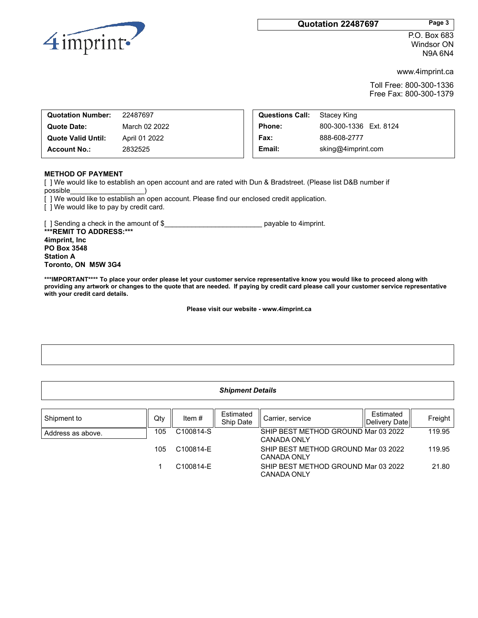#### **Quotation 22487697 Page 3**



P.O. Box 683 Windsor ON N9A 6N4

www.4imprint.ca

Free Fax: 800-300-1379 Toll Free: 800-300-1336

| <b>Quotation Number:</b>  | 22487697      | <b>Questions Call:</b> | Stacev King            |
|---------------------------|---------------|------------------------|------------------------|
| Quote Date:               | March 02 2022 | <b>Phone:</b>          | 800-300-1336 Ext. 8124 |
| <b>Quote Valid Until:</b> | April 01 2022 | Fax:                   | 888-608-2777           |
| <b>Account No.:</b>       | 2832525       | Email:                 | sking@4imprint.com     |
|                           |               |                        |                        |

#### **METHOD OF PAYMENT**

[ ] We would like to establish an open account and are rated with Dun & Bradstreet. (Please list D&B number if possible\_\_\_\_\_\_\_\_\_\_\_\_\_\_\_\_\_\_\_)

[ ] We would like to establish an open account. Please find our enclosed credit application.

[ ] We would like to pay by credit card.

[ ] Sending a check in the amount of \$ payable to 4imprint. **\*\*\*REMIT TO ADDRESS:\*\*\* 4imprint, Inc PO Box 3548 Station A Toronto, ON M5W 3G4**

\*\*\*IMPORTANT\*\*\*\* To place your order please let your customer service representative know you would like to proceed along with providing any artwork or changes to the quote that are needed. If paying by credit card please call your customer service representative **with your credit card details.**

**Please visit our website - www.4imprint.ca**

| <b>Shipment Details</b> |     |           |                        |                                                    |                            |         |  |
|-------------------------|-----|-----------|------------------------|----------------------------------------------------|----------------------------|---------|--|
|                         |     |           |                        |                                                    |                            |         |  |
| Shipment to             | Qty | Item $#$  | Estimated<br>Ship Date | Carrier, service                                   | Estimated<br>Delivery Date | Freight |  |
| Address as above.       | 105 | C100814-S |                        | SHIP BEST METHOD GROUND Mar 03 2022<br>CANADA ONLY |                            | 119.95  |  |
|                         | 105 | C100814-E |                        | SHIP BEST METHOD GROUND Mar 03 2022<br>CANADA ONLY |                            | 119.95  |  |
|                         |     | C100814-E |                        | SHIP BEST METHOD GROUND Mar 03 2022<br>CANADA ONLY |                            | 21.80   |  |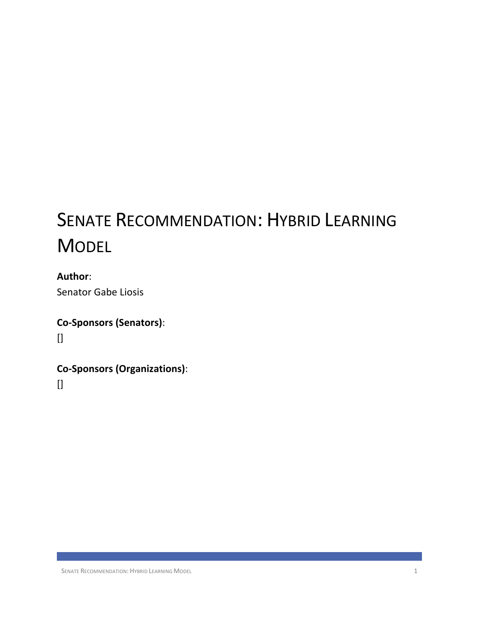# SENATE RECOMMENDATION: HYBRID LEARNING **MODEL**

**Author**: Senator Gabe Liosis

**Co-Sponsors (Senators)**:  $\prod$ 

**Co-Sponsors (Organizations)**:

 $\prod$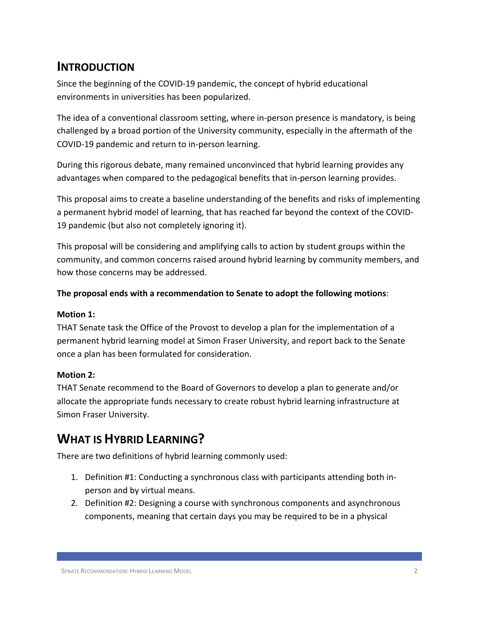### **INTRODUCTION**

Since the beginning of the COVID-19 pandemic, the concept of hybrid educational environments in universities has been popularized.

The idea of a conventional classroom setting, where in-person presence is mandatory, is being challenged by a broad portion of the University community, especially in the aftermath of the COVID-19 pandemic and return to in-person learning.

During this rigorous debate, many remained unconvinced that hybrid learning provides any advantages when compared to the pedagogical benefits that in-person learning provides.

This proposal aims to create a baseline understanding of the benefits and risks of implementing a permanent hybrid model of learning, that has reached far beyond the context of the COVID-19 pandemic (but also not completely ignoring it).

This proposal will be considering and amplifying calls to action by student groups within the community, and common concerns raised around hybrid learning by community members, and how those concerns may be addressed.

#### **The proposal ends with a recommendation to Senate to adopt the following motions**:

#### **Motion 1:**

THAT Senate task the Office of the Provost to develop a plan for the implementation of a permanent hybrid learning model at Simon Fraser University, and report back to the Senate once a plan has been formulated for consideration.

#### **Motion 2:**

THAT Senate recommend to the Board of Governors to develop a plan to generate and/or allocate the appropriate funds necessary to create robust hybrid learning infrastructure at Simon Fraser University.

### **WHAT IS HYBRID LEARNING?**

There are two definitions of hybrid learning commonly used:

- 1. Definition #1: Conducting a synchronous class with participants attending both inperson and by virtual means.
- 2. Definition #2: Designing a course with synchronous components and asynchronous components, meaning that certain days you may be required to be in a physical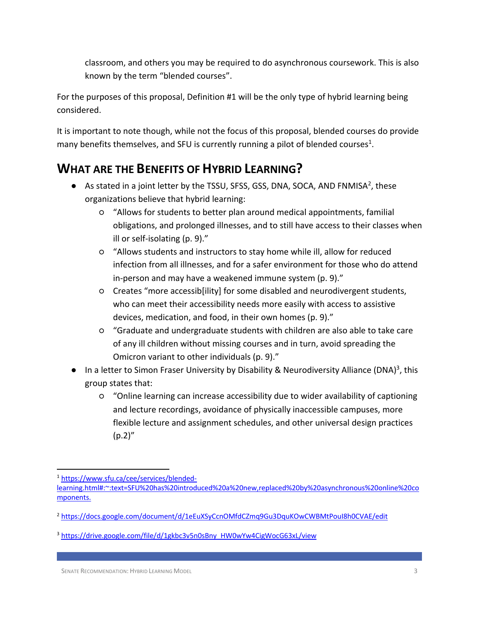classroom, and others you may be required to do asynchronous coursework. This is also known by the term "blended courses".

For the purposes of this proposal, Definition #1 will be the only type of hybrid learning being considered.

It is important to note though, while not the focus of this proposal, blended courses do provide many benefits themselves, and SFU is currently running a pilot of blended courses<sup>1</sup>.

### **WHAT ARE THE BENEFITS OF HYBRID LEARNING?**

- $\bullet$  As stated in a joint letter by the TSSU, SFSS, GSS, DNA, SOCA, AND FNMISA<sup>2</sup>, these organizations believe that hybrid learning:
	- "Allows for students to better plan around medical appointments, familial obligations, and prolonged illnesses, and to still have access to their classes when ill or self-isolating (p. 9)."
	- "Allows students and instructors to stay home while ill, allow for reduced infection from all illnesses, and for a safer environment for those who do attend in-person and may have a weakened immune system (p. 9)."
	- Creates "more accessib[ility] for some disabled and neurodivergent students, who can meet their accessibility needs more easily with access to assistive devices, medication, and food, in their own homes (p. 9)."
	- "Graduate and undergraduate students with children are also able to take care of any ill children without missing courses and in turn, avoid spreading the Omicron variant to other individuals (p. 9)."
- $\bullet$  In a letter to Simon Fraser University by Disability & Neurodiversity Alliance (DNA)<sup>3</sup>, this group states that:
	- "Online learning can increase accessibility due to wider availability of captioning and lecture recordings, avoidance of physically inaccessible campuses, more flexible lecture and assignment schedules, and other universal design practices  $(p.2)''$

<sup>1</sup> https://www.sfu.ca/cee/services/blended-

learning.html#:~:text=SFU%20has%20introduced%20a%20new,replaced%20by%20asynchronous%20online%20co mponents.

<sup>2</sup> https://docs.google.com/document/d/1eEuXSyCcnOMfdCZmq9Gu3DquKOwCWBMtPouI8h0CVAE/edit

<sup>&</sup>lt;sup>3</sup> https://drive.google.com/file/d/1gkbc3v5n0sBny\_HW0wYw4CigWocG63xL/view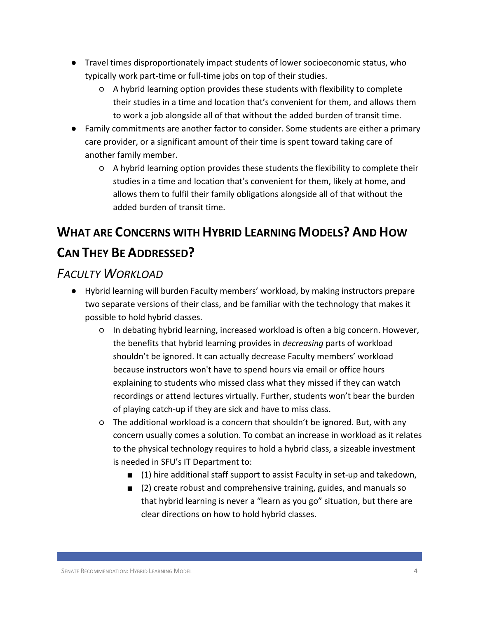- Travel times disproportionately impact students of lower socioeconomic status, who typically work part-time or full-time jobs on top of their studies.
	- A hybrid learning option provides these students with flexibility to complete their studies in a time and location that's convenient for them, and allows them to work a job alongside all of that without the added burden of transit time.
- Family commitments are another factor to consider. Some students are either a primary care provider, or a significant amount of their time is spent toward taking care of another family member.
	- A hybrid learning option provides these students the flexibility to complete their studies in a time and location that's convenient for them, likely at home, and allows them to fulfil their family obligations alongside all of that without the added burden of transit time.

## **WHAT ARE CONCERNS WITH HYBRID LEARNING MODELS? AND HOW CAN THEY BE ADDRESSED?**

### *FACULTY WORKLOAD*

- Hybrid learning will burden Faculty members' workload, by making instructors prepare two separate versions of their class, and be familiar with the technology that makes it possible to hold hybrid classes.
	- In debating hybrid learning, increased workload is often a big concern. However, the benefits that hybrid learning provides in *decreasing* parts of workload shouldn't be ignored. It can actually decrease Faculty members' workload because instructors won't have to spend hours via email or office hours explaining to students who missed class what they missed if they can watch recordings or attend lectures virtually. Further, students won't bear the burden of playing catch-up if they are sick and have to miss class.
	- The additional workload is a concern that shouldn't be ignored. But, with any concern usually comes a solution. To combat an increase in workload as it relates to the physical technology requires to hold a hybrid class, a sizeable investment is needed in SFU's IT Department to:
		- (1) hire additional staff support to assist Faculty in set-up and takedown,
		- (2) create robust and comprehensive training, guides, and manuals so that hybrid learning is never a "learn as you go" situation, but there are clear directions on how to hold hybrid classes.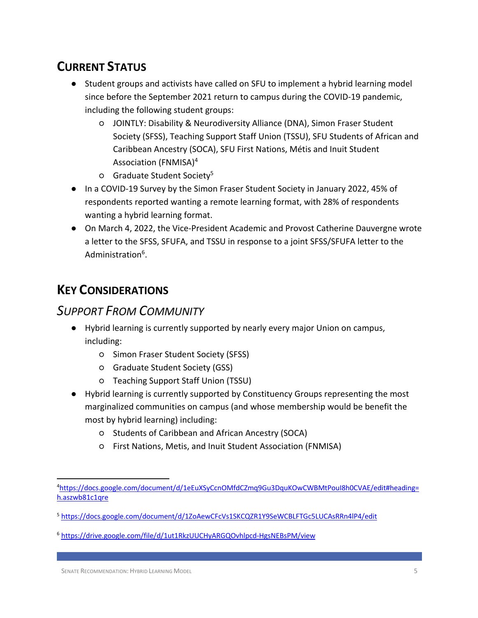### **CURRENT STATUS**

- Student groups and activists have called on SFU to implement a hybrid learning model since before the September 2021 return to campus during the COVID-19 pandemic, including the following student groups:
	- JOINTLY: Disability & Neurodiversity Alliance (DNA), Simon Fraser Student Society (SFSS), Teaching Support Staff Union (TSSU), SFU Students of African and Caribbean Ancestry (SOCA), SFU First Nations, Métis and Inuit Student Association (FNMISA)4
	- Graduate Student Society5
- In a COVID-19 Survey by the Simon Fraser Student Society in January 2022, 45% of respondents reported wanting a remote learning format, with 28% of respondents wanting a hybrid learning format.
- On March 4, 2022, the Vice-President Academic and Provost Catherine Dauvergne wrote a letter to the SFSS, SFUFA, and TSSU in response to a joint SFSS/SFUFA letter to the Administration<sup>6</sup>.

### **KEY CONSIDERATIONS**

### *SUPPORT FROM COMMUNITY*

- Hybrid learning is currently supported by nearly every major Union on campus, including:
	- Simon Fraser Student Society (SFSS)
	- Graduate Student Society (GSS)
	- Teaching Support Staff Union (TSSU)
- Hybrid learning is currently supported by Constituency Groups representing the most marginalized communities on campus (and whose membership would be benefit the most by hybrid learning) including:
	- Students of Caribbean and African Ancestry (SOCA)
	- First Nations, Metis, and Inuit Student Association (FNMISA)

<sup>4</sup> https://docs.google.com/document/d/1eEuXSyCcnOMfdCZmq9Gu3DquKOwCWBMtPouI8h0CVAE/edit#heading= h.aszwb81c1qre

<sup>5</sup> https://docs.google.com/document/d/1ZoAewCFcVs1SKCQZR1Y9SeWCBLFTGc5LUCAsRRn4lP4/edit

<sup>6</sup> https://drive.google.com/file/d/1ut1RkzUUCHyARGQOvhlpcd-HgsNEBsPM/view